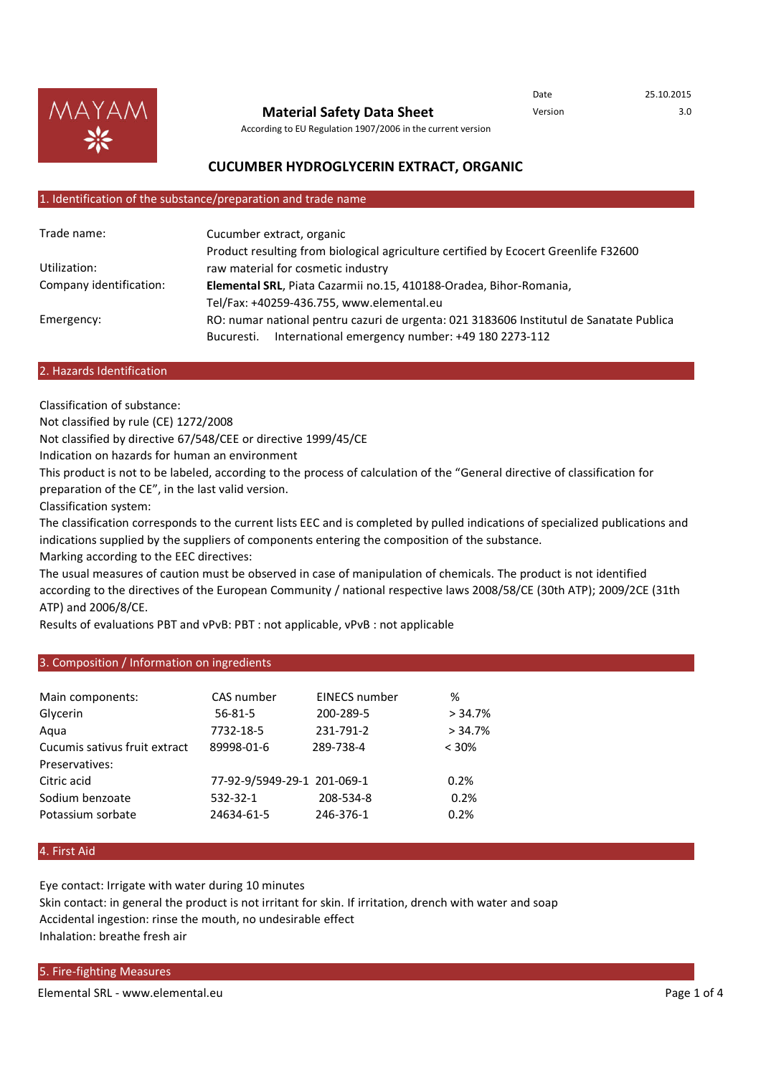

**Material Safety Data Sheet**

Date 25.10.2015 Version 3.0

According to EU Regulation 1907/2006 in the current version

# **CUCUMBER HYDROGLYCERIN EXTRACT, ORGANIC**

#### 1. Identification of the substance/preparation and trade name

| Trade name:             | Cucumber extract, organic                                                               |  |
|-------------------------|-----------------------------------------------------------------------------------------|--|
|                         | Product resulting from biological agriculture certified by Ecocert Greenlife F32600     |  |
| Utilization:            | raw material for cosmetic industry                                                      |  |
| Company identification: | Elemental SRL, Piata Cazarmii no.15, 410188-Oradea, Bihor-Romania,                      |  |
|                         | Tel/Fax: +40259-436.755, www.elemental.eu                                               |  |
| Emergency:              | RO: numar national pentru cazuri de urgenta: 021 3183606 Institutul de Sanatate Publica |  |
|                         | International emergency number: +49 180 2273-112<br>Bucuresti.                          |  |

#### 2. Hazards Identification

Classification of substance:

Not classified by rule (CE) 1272/2008

Not classified by directive 67/548/CEE or directive 1999/45/CE

Indication on hazards for human an environment

This product is not to be labeled, according to the process of calculation of the "General directive of classification for preparation of the CE", in the last valid version.

Classification system:

The classification corresponds to the current lists EEC and is completed by pulled indications of specialized publications and indications supplied by the suppliers of components entering the composition of the substance.

Marking according to the EEC directives:

The usual measures of caution must be observed in case of manipulation of chemicals. The product is not identified according to the directives of the European Community / national respective laws 2008/58/CE (30th ATP); 2009/2CE (31th ATP) and 2006/8/CE.

Results of evaluations PBT and vPvB: PBT : not applicable, vPvB : not applicable

# 3. Composition / Information on ingredients

| Main components:<br>Glycerin  | CAS number<br>$56 - 81 - 5$ | <b>EINECS number</b><br>200-289-5 | %<br>> 34.7% |
|-------------------------------|-----------------------------|-----------------------------------|--------------|
| Aqua                          | 7732-18-5                   | 231-791-2                         | > 34.7%      |
| Cucumis sativus fruit extract | 89998-01-6                  | 289-738-4                         | $< 30\%$     |
| Preservatives:                |                             |                                   |              |
| Citric acid                   | 77-92-9/5949-29-1 201-069-1 |                                   | 0.2%         |
| Sodium benzoate               | 532-32-1                    | 208-534-8                         | 0.2%         |
| Potassium sorbate             | 24634-61-5                  | 246-376-1                         | 0.2%         |

# 4. First Aid

Eye contact: Irrigate with water during 10 minutes Skin contact: in general the product is not irritant for skin. If irritation, drench with water and soap Accidental ingestion: rinse the mouth, no undesirable effect Inhalation: breathe fresh air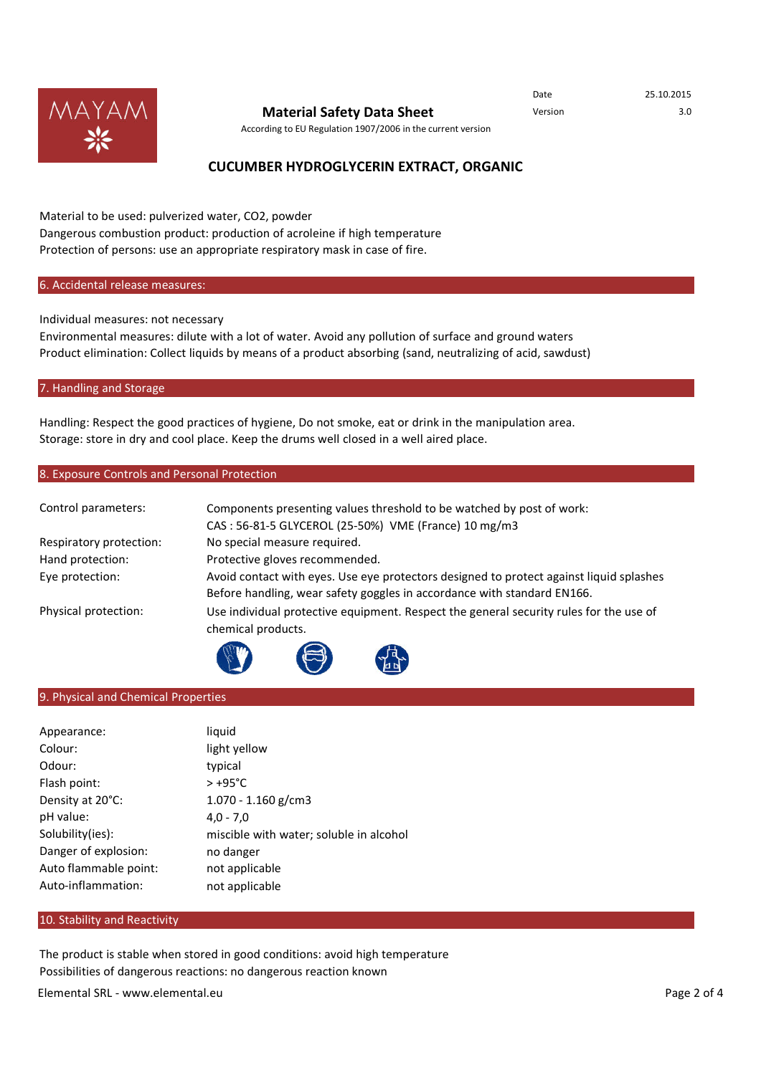

# **Material Safety Data Sheet** Version Version 3.0

Date 25.10.2015

According to EU Regulation 1907/2006 in the current version

# **CUCUMBER HYDROGLYCERIN EXTRACT, ORGANIC**

Material to be used: pulverized water, CO2, powder Dangerous combustion product: production of acroleine if high temperature Protection of persons: use an appropriate respiratory mask in case of fire.

## 6. Accidental release measures:

Individual measures: not necessary

Environmental measures: dilute with a lot of water. Avoid any pollution of surface and ground waters Product elimination: Collect liquids by means of a product absorbing (sand, neutralizing of acid, sawdust)

#### 7. Handling and Storage

Handling: Respect the good practices of hygiene, Do not smoke, eat or drink in the manipulation area. Storage: store in dry and cool place. Keep the drums well closed in a well aired place.

## 8. Exposure Controls and Personal Protection

| Control parameters:     | Components presenting values threshold to be watched by post of work:                                        |  |
|-------------------------|--------------------------------------------------------------------------------------------------------------|--|
|                         | CAS: 56-81-5 GLYCEROL (25-50%) VME (France) 10 mg/m3                                                         |  |
| Respiratory protection: | No special measure required.                                                                                 |  |
| Hand protection:        | Protective gloves recommended.                                                                               |  |
| Eye protection:         | Avoid contact with eyes. Use eye protectors designed to protect against liquid splashes                      |  |
|                         | Before handling, wear safety goggles in accordance with standard EN166.                                      |  |
| Physical protection:    | Use individual protective equipment. Respect the general security rules for the use of<br>chemical products. |  |
|                         |                                                                                                              |  |

## 9. Physical and Chemical Properties

| liquid                                  |
|-----------------------------------------|
| light yellow                            |
| typical                                 |
| $> +95^{\circ}$ C                       |
| $1.070 - 1.160$ g/cm3                   |
| $4.0 - 7.0$                             |
| miscible with water; soluble in alcohol |
| no danger                               |
| not applicable                          |
| not applicable                          |
|                                         |

## 10. Stability and Reactivity

The product is stable when stored in good conditions: avoid high temperature Possibilities of dangerous reactions: no dangerous reaction known

Conditions to be avoided: No other available in the set of the set of the set of the set of the set of the set of the set of the set of the set of the set of the set of the set of the set of the set of the set of the set o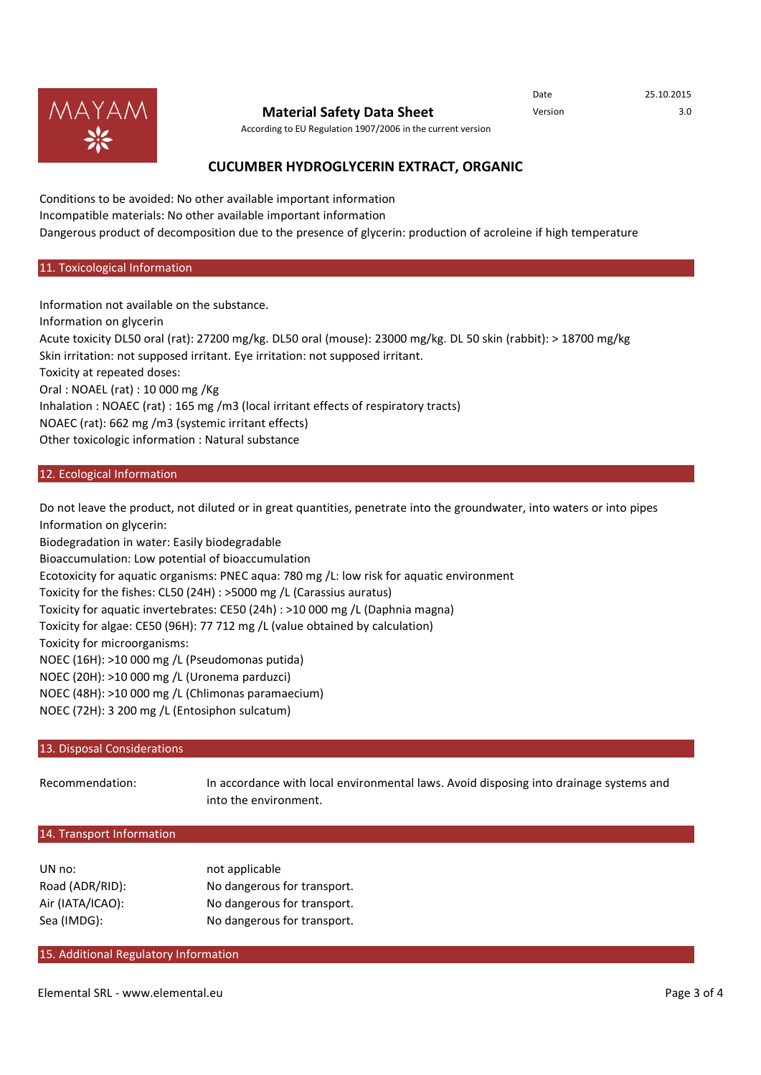

# **Material Safety Data Sheet** Version Version 3.0

Date 25.10.2015

According to EU Regulation 1907/2006 in the current version

# **CUCUMBER HYDROGLYCERIN EXTRACT, ORGANIC**

Conditions to be avoided: No other available important information Incompatible materials: No other available important information Dangerous product of decomposition due to the presence of glycerin: production of acroleine if high temperature

#### 11. Toxicological Information

Information not available on the substance. Information on glycerin Acute toxicity DL50 oral (rat): 27200 mg/kg. DL50 oral (mouse): 23000 mg/kg. DL 50 skin (rabbit): > 18700 mg/kg Skin irritation: not supposed irritant. Eye irritation: not supposed irritant. Toxicity at repeated doses: Oral : NOAEL (rat) : 10 000 mg /Kg Inhalation : NOAEC (rat) : 165 mg /m3 (local irritant effects of respiratory tracts) NOAEC (rat): 662 mg /m3 (systemic irritant effects) Other toxicologic information : Natural substance

# 12. Ecological Information

Do not leave the product, not diluted or in great quantities, penetrate into the groundwater, into waters or into pipes Information on glycerin:

Biodegradation in water: Easily biodegradable

Bioaccumulation: Low potential of bioaccumulation

Ecotoxicity for aquatic organisms: PNEC aqua: 780 mg /L: low risk for aquatic environment

Toxicity for the fishes: CL50 (24H) : >5000 mg /L (Carassius auratus)

Toxicity for aquatic invertebrates: CE50 (24h) : >10 000 mg /L (Daphnia magna)

Toxicity for algae: CE50 (96H): 77 712 mg /L (value obtained by calculation)

Toxicity for microorganisms:

NOEC (16H): >10 000 mg /L (Pseudomonas putida)

NOEC (20H): >10 000 mg /L (Uronema parduzci)

NOEC (48H): >10 000 mg /L (Chlimonas paramaecium)

NOEC (72H): 3 200 mg /L (Entosiphon sulcatum)

# 13. Disposal Considerations

Recommendation: In accordance with local environmental laws. Avoid disposing into drainage systems and into the environment.

# 14. Transport Information

| UN no:           | not applicable              |
|------------------|-----------------------------|
| Road (ADR/RID):  | No dangerous for transport. |
| Air (IATA/ICAO): | No dangerous for transport. |
| Sea (IMDG):      | No dangerous for transport. |

## 15. Additional Regulatory Information